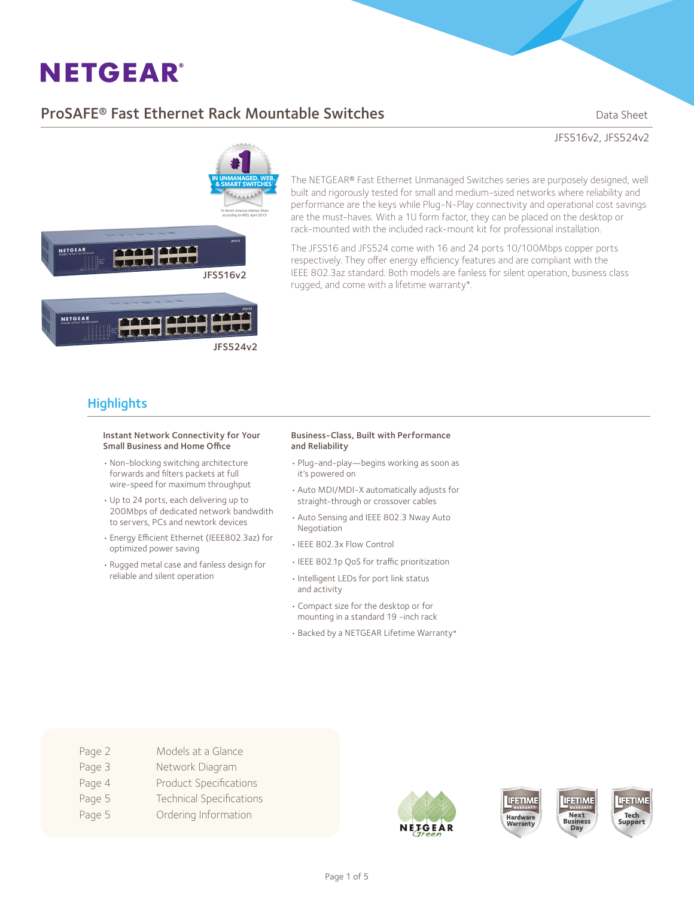## **ProSAFE<sup>®</sup> Fast Ethernet Rack Mountable Switches** Dream Data Sheet

JFS516v2, JFS524v2

anaa aana NETGEAR JFS516v2

**THE HIP HIP** NETGEAR JFS524v2

The NETGEAR® Fast Ethernet Unmanaged Switches series are purposely designed, well built and rigorously tested for small and medium-sized networks where reliability and performance are the keys while Plug-N-Play connectivity and operational cost savings are the must-haves. With a 1U form factor, they can be placed on the desktop or rack-mounted with the included rack-mount kit for professional installation.

The JFS516 and JFS524 come with 16 and 24 ports 10/100Mbps copper ports respectively. They offer energy efficiency features and are compliant with the IEEE 802.3az standard. Both models are fanless for silent operation, business class rugged, and come with a lifetime warranty\*.

## **Highlights**

#### Instant Network Connectivity for Your Small Business and Home Office

- • Non-blocking switching architecture forwards and filters packets at full wire-speed for maximum throughput
- • Up to 24 ports, each delivering up to 200Mbps of dedicated network bandwdith to servers, PCs and newtork devices
- • Energy Efficient Ethernet (IEEE802.3az) for optimized power saving
- • Rugged metal case and fanless design for reliable and silent operation

#### Business-Class, Built with Performance and Reliability

- • Plug-and-play—begins working as soon as it's powered on
- • Auto MDI/MDI-X automatically adjusts for straight-through or crossover cables
- • Auto Sensing and IEEE 802.3 Nway Auto Negotiation
- • IEEE 802.3x Flow Control
- • IEEE 802.1p QoS for traffic prioritization
- • Intelligent LEDs for port link status and activity
- • Compact size for the desktop or for mounting in a standard 19 -inch rack
- • Backed by a NETGEAR Lifetime Warranty\*

- Page 2 Models at a Glance
- Page 3 Network Diagram
- Page 4 Product Specifications
- Page 5 Technical Specifications
- Page 5 **Ordering Information**







**IFETIME** 

Next

**Business** 

Day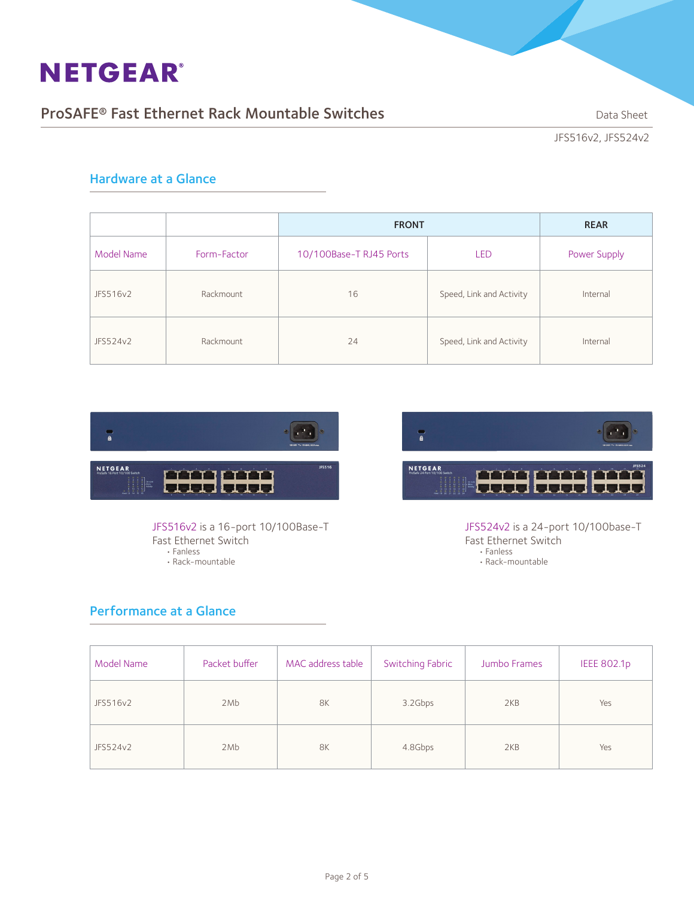## ProSAFE<sup>®</sup> Fast Ethernet Rack Mountable Switches **Data Sheet** Data Sheet

JFS516v2, JFS524v2

### Hardware at a Glance

|            |             | <b>FRONT</b>            | <b>REAR</b>              |              |
|------------|-------------|-------------------------|--------------------------|--------------|
| Model Name | Form-Factor | 10/100Base-T RJ45 Ports | <b>LED</b>               | Power Supply |
| JFS516v2   | Rackmount   | 16                      | Speed, Link and Activity | Internal     |
| JFS524v2   | Rackmount   | 24                      | Speed, Link and Activity | Internal     |



JFS516v2 is a 16-port 10/100Base-T Fast Ethernet Switch • Fanless • Rack-mountable

## $\overline{\bullet}$ NETGEAR HHH ינדני<br>געג

JFS524v2 is a 24-port 10/100base-T Fast Ethernet Switch • Fanless • Rack-mountable

## Performance at a Glance

| Model Name | Packet buffer | MAC address table | <b>Switching Fabric</b> | Jumbo Frames | <b>IEEE 802.1p</b> |
|------------|---------------|-------------------|-------------------------|--------------|--------------------|
| JFS516v2   | 2Mb           | 8K                | 3.2Gbps                 | 2KB          | Yes                |
| JFS524v2   | 2Mb           | 8K                | 4.8Gbps                 | 2KB          | Yes                |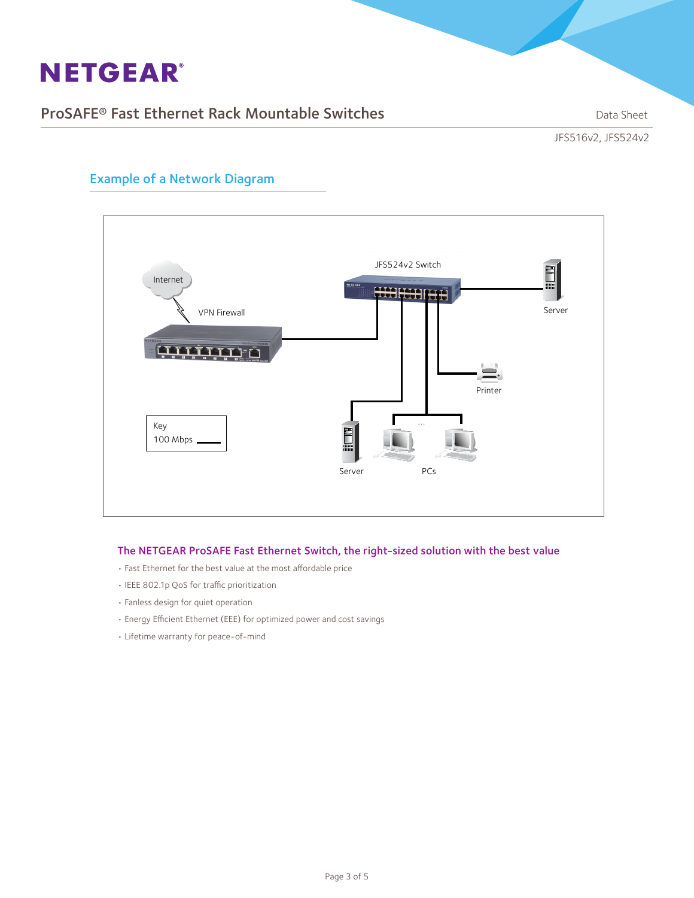## ProSAFE<sup>®</sup> Fast Ethernet Rack Mountable Switches **Data Sheet** Data Sheet

JFS516v2, JFS524v2



### Example of a Network Diagram

### The NETGEAR ProSAFE Fast Ethernet Switch, the right-sized solution with the best value

- Fast Ethernet for the best value at the most affordable price
- IEEE 802.1p QoS for traffic prioritization
- Fanless design for quiet operation
- Energy Efficient Ethernet (EEE) for optimized power and cost savings
- Lifetime warranty for peace-of-mind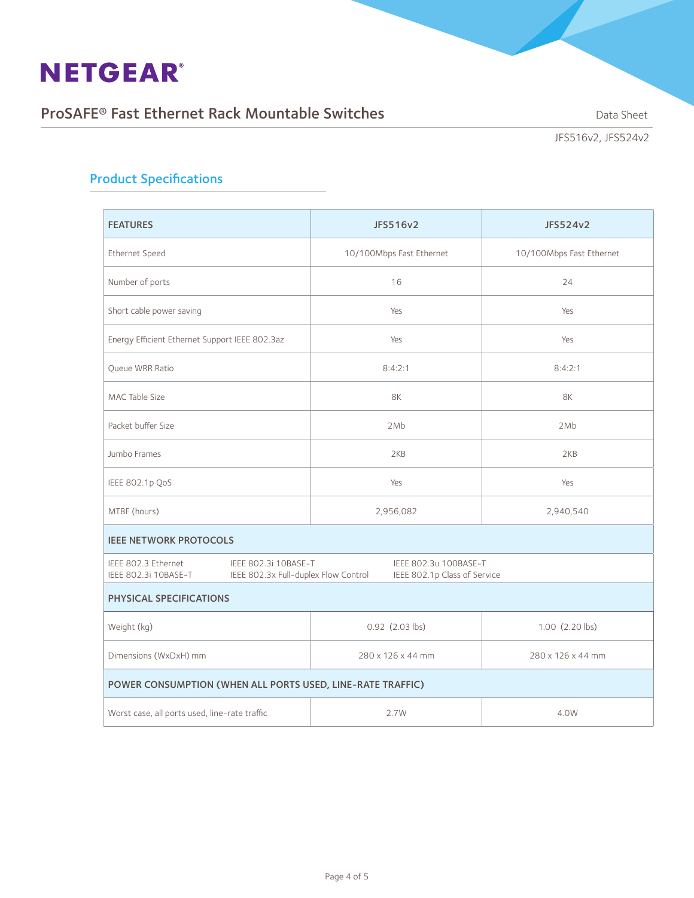## ProSAFE® Fast Ethernet Rack Mountable Switches Data Sheet

JFS516v2, JFS524v2

## Product Specifications

| <b>FEATURES</b>                                            | JFS516v2                                                                                                              | JFS524v2                 |  |  |  |  |  |
|------------------------------------------------------------|-----------------------------------------------------------------------------------------------------------------------|--------------------------|--|--|--|--|--|
| Ethernet Speed                                             | 10/100Mbps Fast Ethernet                                                                                              | 10/100Mbps Fast Ethernet |  |  |  |  |  |
| Number of ports                                            | 16                                                                                                                    | 24                       |  |  |  |  |  |
| Short cable power saving                                   | Yes                                                                                                                   | Yes                      |  |  |  |  |  |
| Energy Efficient Ethernet Support IEEE 802.3az             | Yes                                                                                                                   | Yes                      |  |  |  |  |  |
| <b>Oueue WRR Ratio</b>                                     | 8:4:2:1                                                                                                               | 8:4:2:1                  |  |  |  |  |  |
| MAC Table Size                                             | 8K                                                                                                                    | 8K                       |  |  |  |  |  |
| Packet buffer Size                                         | 2Mb                                                                                                                   | 2Mb                      |  |  |  |  |  |
| Jumbo Frames                                               | 2KB                                                                                                                   | 2KB                      |  |  |  |  |  |
| IEEE 802.1p QoS                                            | Yes                                                                                                                   | Yes                      |  |  |  |  |  |
| MTBF (hours)                                               | 2,956,082                                                                                                             | 2,940,540                |  |  |  |  |  |
| <b>IEEE NETWORK PROTOCOLS</b>                              |                                                                                                                       |                          |  |  |  |  |  |
| IEEE 802.3 Ethernet<br>IEEE 802.3i 10BASE-T                | IEEE 802.3u 100BASE-T<br>IEEE 802.3i 10BASE-T<br>IEEE 802.3x Full-duplex Flow Control<br>IEEE 802.1p Class of Service |                          |  |  |  |  |  |
| PHYSICAL SPECIFICATIONS                                    |                                                                                                                       |                          |  |  |  |  |  |
| Weight (kg)                                                | 0.92 (2.03 lbs)                                                                                                       | 1.00 (2.20 lbs)          |  |  |  |  |  |
| Dimensions (WxDxH) mm                                      | 280 x 126 x 44 mm                                                                                                     | 280 x 126 x 44 mm        |  |  |  |  |  |
| POWER CONSUMPTION (WHEN ALL PORTS USED, LINE-RATE TRAFFIC) |                                                                                                                       |                          |  |  |  |  |  |
| Worst case, all ports used, line-rate traffic              | 2.7W                                                                                                                  | 4.0W                     |  |  |  |  |  |